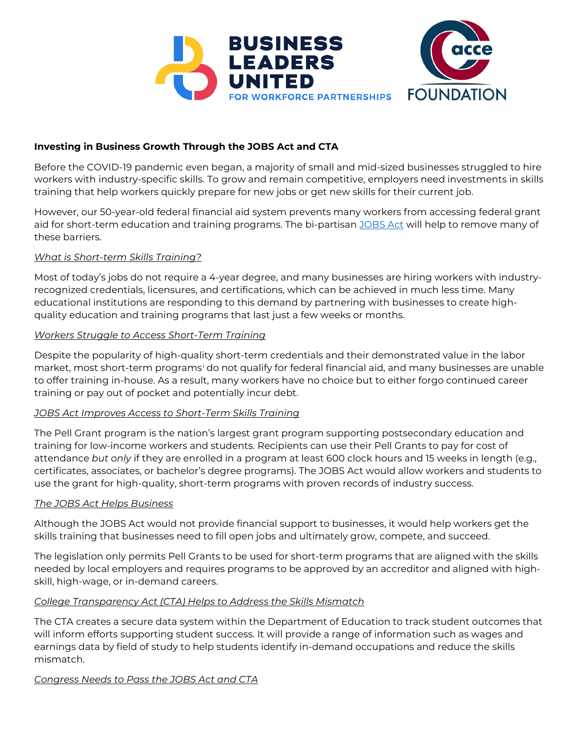

# **Investing in Business Growth Through the JOBS Act and CTA**

Before the COVID-19 pandemic even began, a majority of small and mid-sized businesses struggled to hire workers with industry-specific skills. To grow and remain competitive, employers need investments in skills training that help workers quickly prepare for new jobs or get new skills for their current job.

However, our 50-year-old federal financial aid system prevents many workers from accessing federal grant aid for short-term education and training programs. The bi-partisan [JOBS Act](https://www.congress.gov/bill/117th-congress/senate-bill/864/text) will help to remove many of these barriers.

### *What is Short-term Skills Training?*

Most of today's jobs do not require a 4-year degree, and many businesses are hiring workers with industryrecognized credentials, licensures, and certifications, which can be achieved in much less time. Many educational institutions are responding to this demand by partnering with businesses to create highquality education and training programs that last just a few weeks or months.

### *Workers Struggle to Access Short-Term Training*

Despite the popularity of high-quality short-term credentials and their demonstrated value in the labor market, most short-term programs[i](#page-1-0) do not qualify for federal financial aid, and many businesses are unable to offer training in-house. As a result, many workers have no choice but to either forgo continued career training or pay out of pocket and potentially incur debt.

#### *JOBS Act Improves Access to Short-Term Skills Training*

The Pell Grant program is the nation's largest grant program supporting postsecondary education and training for low-income workers and students. Recipients can use their Pell Grants to pay for cost of attendance *but only* if they are enrolled in a program at least 600 clock hours and 15 weeks in length (e.g., certificates, associates, or bachelor's degree programs). The JOBS Act would allow workers and students to use the grant for high-quality, short-term programs with proven records of industry success.

#### *The JOBS Act Helps Business*

Although the JOBS Act would not provide financial support to businesses, it would help workers get the skills training that businesses need to fill open jobs and ultimately grow, compete, and succeed.

The legislation only permits Pell Grants to be used for short-term programs that are aligned with the skills needed by local employers and requires programs to be approved by an accreditor and aligned with highskill, high-wage, or in-demand careers.

## *College Transparency Act (CTA) Helps to Address the Skills Mismatch*

The CTA creates a secure data system within the Department of Education to track student outcomes that will inform efforts supporting student success. It will provide a range of information such as wages and earnings data by field of study to help students identify in-demand occupations and reduce the skills mismatch.

#### *Congress Needs to Pass the JOBS Act and CTA*